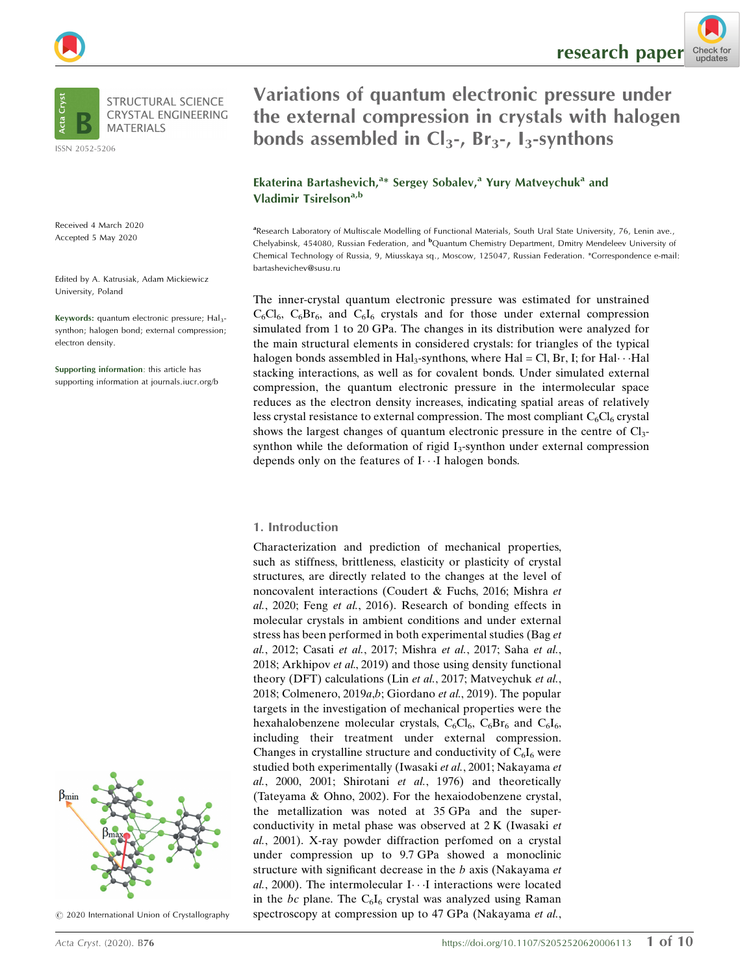

ISSN 2052-5206

Received 4 March 2020 Accepted 5 May 2020

Edited by A. Katrusiak, Adam Mickiewicz University, Poland

Keywords: quantum electronic pressure; Hal<sub>3</sub>synthon; halogen bond; external compression; electron density.

Supporting information: this article has supporting information at journals.iucr.org/b



 $©$  2020 International Union of Crystallography

re[s](http://crossmark.crossref.org/dialog/?doi=10.1107%2FS2052520620006113&domain=pdf&date_stamp=2020-07-13)earch paper  $\frac{Check}{t}$  for the check for

# Variations of quantum electronic pressure under the external compression in crystals with halogen bonds assembled in  $Cl_3$ -, Br<sub>3</sub>-, I<sub>3</sub>-synthons

Ekaterina Bartashevich,<sup>a\*</sup> Sergey Sobalev,<sup>a</sup> Yury Matveychuk<sup>a</sup> and Vladimir Tsirelson<sup>a,b</sup>

aResearch Laboratory of Multiscale Modelling of Functional Materials, South Ural State University, 76, Lenin ave., Chelyabinsk, 454080, Russian Federation, and <sup>b</sup>Quantum Chemistry Department, Dmitry Mendeleev University of Chemical Technology of Russia, 9, Miusskaya sq., Moscow, 125047, Russian Federation. \*Correspondence e-mail: bartashevichev@susu.ru

The inner-crystal quantum electronic pressure was estimated for unstrained  $C_6Cl_6$ ,  $C_6Br_6$ , and  $C_6I_6$  crystals and for those under external compression simulated from 1 to 20 GPa. The changes in its distribution were analyzed for the main structural elements in considered crystals: for triangles of the typical halogen bonds assembled in  $\operatorname{Hal}_3$ -synthons, where  $\operatorname{Hal} = \operatorname{Cl}$ , Br, I; for  $\operatorname{Hal} \cdot \cdot \cdot \operatorname{Hal}$ stacking interactions, as well as for covalent bonds. Under simulated external compression, the quantum electronic pressure in the intermolecular space reduces as the electron density increases, indicating spatial areas of relatively less crystal resistance to external compression. The most compliant  $C_6Cl_6$  crystal shows the largest changes of quantum electronic pressure in the centre of  $Cl<sub>3</sub>$ synthon while the deformation of rigid  $I_3$ -synthon under external compression depends only on the features of I··· I halogen bonds.

# 1. Introduction

Characterization and prediction of mechanical properties, such as stiffness, brittleness, elasticity or plasticity of crystal structures, are directly related to the changes at the level of noncovalent interactions (Coudert & Fuchs, 2016; Mishra et al., 2020; Feng et al., 2016). Research of bonding effects in molecular crystals in ambient conditions and under external stress has been performed in both experimental studies (Bag et al., 2012; Casati et al., 2017; Mishra et al., 2017; Saha et al., 2018; Arkhipov et al., 2019) and those using density functional theory (DFT) calculations (Lin et al., 2017; Matveychuk et al., 2018; Colmenero, 2019a,b; Giordano et al., 2019). The popular targets in the investigation of mechanical properties were the hexahalobenzene molecular crystals,  $C_6Cl_6$ ,  $C_6Br_6$  and  $C_6I_6$ , including their treatment under external compression. Changes in crystalline structure and conductivity of  $C_6I_6$  were studied both experimentally (Iwasaki et al., 2001; Nakayama et  $al., 2000, 2001; Shirotani et al., 1976)$  and theoretically (Tateyama & Ohno, 2002). For the hexaiodobenzene crystal, the metallization was noted at 35 GPa and the superconductivity in metal phase was observed at 2 K (Iwasaki et al., 2001). X-ray powder diffraction perfomed on a crystal under compression up to 9.7 GPa showed a monoclinic structure with significant decrease in the b axis (Nakayama et al., 2000). The intermolecular I ··· I interactions were located in the bc plane. The  $C_6I_6$  crystal was analyzed using Raman spectroscopy at compression up to 47 GPa (Nakayama et al.,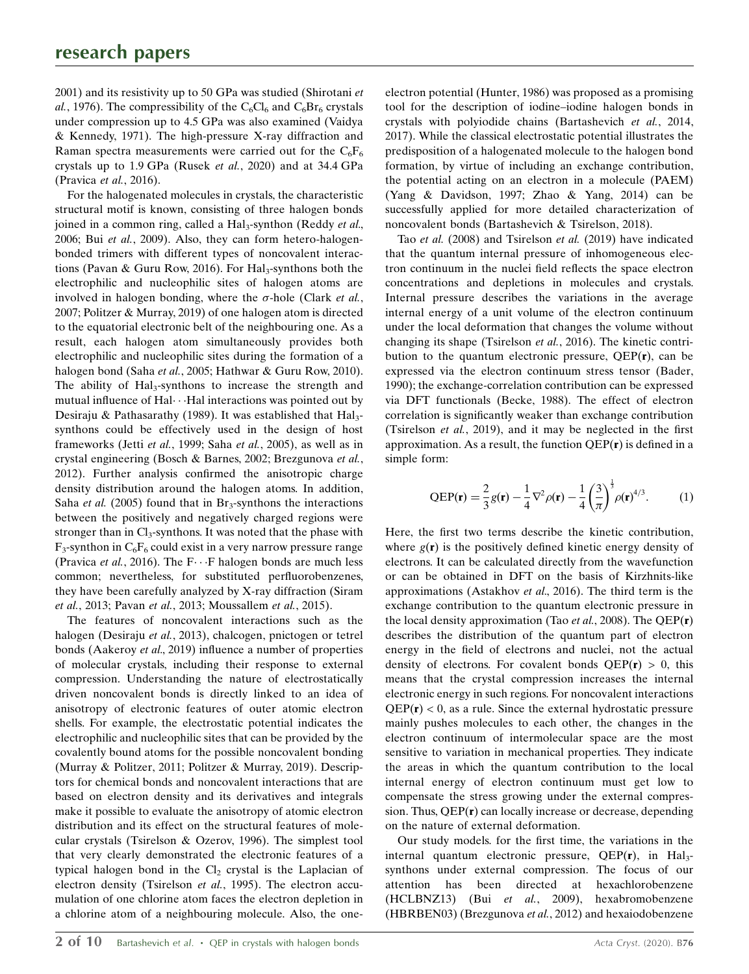2001) and its resistivity up to 50 GPa was studied (Shirotani et al., 1976). The compressibility of the  $C_6Cl_6$  and  $C_6Br_6$  crystals under compression up to 4.5 GPa was also examined (Vaidya & Kennedy, 1971). The high-pressure X-ray diffraction and Raman spectra measurements were carried out for the  $C_6F_6$ crystals up to 1.9 GPa (Rusek et al., 2020) and at 34.4 GPa (Pravica et al., 2016).

For the halogenated molecules in crystals, the characteristic structural motif is known, consisting of three halogen bonds joined in a common ring, called a Hal<sub>3</sub>-synthon (Reddy et al., 2006; Bui et al., 2009). Also, they can form hetero-halogenbonded trimers with different types of noncovalent interactions (Pavan & Guru Row, 2016). For Hal<sub>3</sub>-synthons both the electrophilic and nucleophilic sites of halogen atoms are involved in halogen bonding, where the  $\sigma$ -hole (Clark et al., 2007; Politzer & Murray, 2019) of one halogen atom is directed to the equatorial electronic belt of the neighbouring one. As a result, each halogen atom simultaneously provides both electrophilic and nucleophilic sites during the formation of a halogen bond (Saha et al., 2005; Hathwar & Guru Row, 2010). The ability of Hal<sub>3</sub>-synthons to increase the strength and mutual influence of Hal···Hal interactions was pointed out by Desiraju & Pathasarathy (1989). It was established that  $\text{Hal}_3$ synthons could be effectively used in the design of host frameworks (Jetti et al., 1999; Saha et al., 2005), as well as in crystal engineering (Bosch & Barnes, 2002; Brezgunova et al., 2012). Further analysis confirmed the anisotropic charge density distribution around the halogen atoms. In addition, Saha et al. (2005) found that in Br<sub>3</sub>-synthons the interactions between the positively and negatively charged regions were stronger than in  $Cl_3$ -synthons. It was noted that the phase with  $F_3$ -synthon in  $C_6F_6$  could exist in a very narrow pressure range (Pravica et al., 2016). The  $F \cdots F$  halogen bonds are much less common; nevertheless, for substituted perfluorobenzenes, they have been carefully analyzed by X-ray diffraction (Siram et al., 2013; Pavan et al., 2013; Moussallem et al., 2015).

The features of noncovalent interactions such as the halogen (Desiraju et al., 2013), chalcogen, pnictogen or tetrel bonds (Aakeroy et al., 2019) influence a number of properties of molecular crystals, including their response to external compression. Understanding the nature of electrostatically driven noncovalent bonds is directly linked to an idea of anisotropy of electronic features of outer atomic electron shells. For example, the electrostatic potential indicates the electrophilic and nucleophilic sites that can be provided by the covalently bound atoms for the possible noncovalent bonding (Murray & Politzer, 2011; Politzer & Murray, 2019). Descriptors for chemical bonds and noncovalent interactions that are based on electron density and its derivatives and integrals make it possible to evaluate the anisotropy of atomic electron distribution and its effect on the structural features of molecular crystals (Tsirelson & Ozerov, 1996). The simplest tool that very clearly demonstrated the electronic features of a typical halogen bond in the  $Cl<sub>2</sub>$  crystal is the Laplacian of electron density (Tsirelson et al., 1995). The electron accumulation of one chlorine atom faces the electron depletion in a chlorine atom of a neighbouring molecule. Also, the oneelectron potential (Hunter, 1986) was proposed as a promising tool for the description of iodine–iodine halogen bonds in crystals with polyiodide chains (Bartashevich et al., 2014, 2017). While the classical electrostatic potential illustrates the predisposition of a halogenated molecule to the halogen bond formation, by virtue of including an exchange contribution, the potential acting on an electron in a molecule (PAEM) (Yang & Davidson, 1997; Zhao & Yang, 2014) can be successfully applied for more detailed characterization of noncovalent bonds (Bartashevich & Tsirelson, 2018).

Tao et al. (2008) and Tsirelson et al. (2019) have indicated that the quantum internal pressure of inhomogeneous electron continuum in the nuclei field reflects the space electron concentrations and depletions in molecules and crystals. Internal pressure describes the variations in the average internal energy of a unit volume of the electron continuum under the local deformation that changes the volume without changing its shape (Tsirelson et al., 2016). The kinetic contribution to the quantum electronic pressure,  $QEP(r)$ , can be expressed via the electron continuum stress tensor (Bader, 1990); the exchange-correlation contribution can be expressed via DFT functionals (Becke, 1988). The effect of electron correlation is significantly weaker than exchange contribution (Tsirelson et al., 2019), and it may be neglected in the first approximation. As a result, the function  $QEP(r)$  is defined in a simple form:

$$
QEP(\mathbf{r}) = \frac{2}{3}g(\mathbf{r}) - \frac{1}{4}\nabla^2 \rho(\mathbf{r}) - \frac{1}{4}\left(\frac{3}{\pi}\right)^{\frac{1}{3}}\rho(\mathbf{r})^{4/3}.
$$
 (1)

Here, the first two terms describe the kinetic contribution, where  $g(\mathbf{r})$  is the positively defined kinetic energy density of electrons. It can be calculated directly from the wavefunction or can be obtained in DFT on the basis of Kirzhnits-like approximations (Astakhov et al., 2016). The third term is the exchange contribution to the quantum electronic pressure in the local density approximation (Tao et al., 2008). The  $QEP(r)$ describes the distribution of the quantum part of electron energy in the field of electrons and nuclei, not the actual density of electrons. For covalent bonds  $QEP(r) > 0$ , this means that the crystal compression increases the internal electronic energy in such regions. For noncovalent interactions  $QEP(r) < 0$ , as a rule. Since the external hydrostatic pressure mainly pushes molecules to each other, the changes in the electron continuum of intermolecular space are the most sensitive to variation in mechanical properties. They indicate the areas in which the quantum contribution to the local internal energy of electron continuum must get low to compensate the stress growing under the external compression. Thus, QEP(r) can locally increase or decrease, depending on the nature of external deformation.

Our study models. for the first time, the variations in the internal quantum electronic pressure,  $QEP(r)$ , in Hal<sub>3</sub>synthons under external compression. The focus of our attention has been directed at hexachlorobenzene (HCLBNZ13) (Bui et al., 2009), hexabromobenzene (HBRBEN03) (Brezgunova et al., 2012) and hexaiodobenzene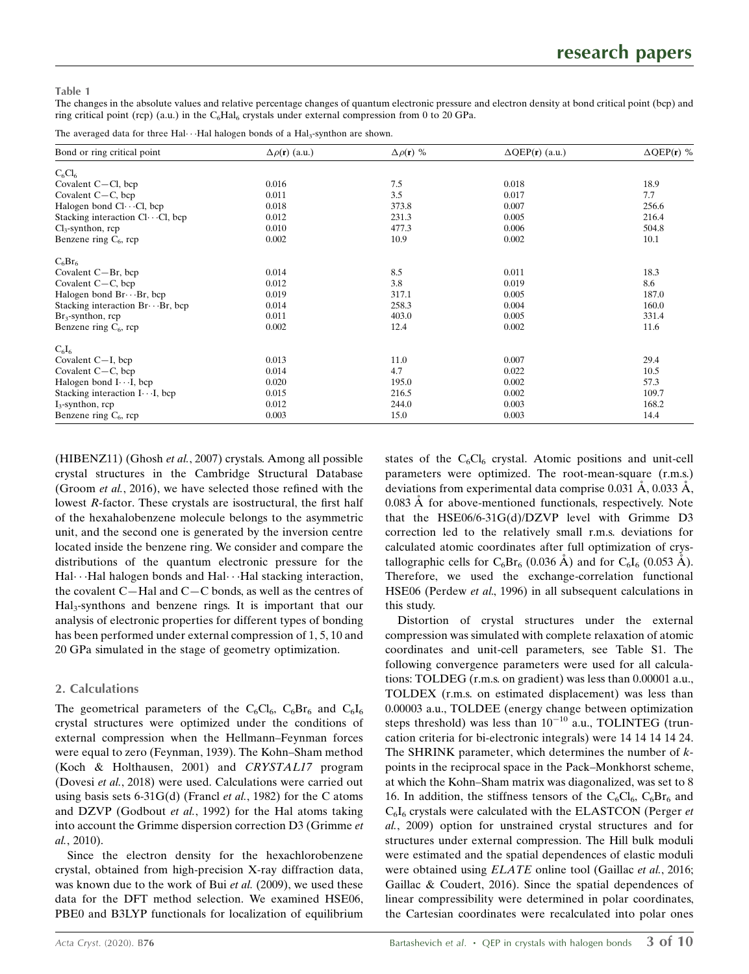## Table 1

The changes in the absolute values and relative percentage changes of quantum electronic pressure and electron density at bond critical point (bcp) and ring critical point (rcp) (a.u.) in the  $C_6Hal_6$  crystals under external compression from 0 to 20 GPa.

The averaged data for three Hal $\cdots$ Hal halogen bonds of a Hal<sub>3</sub>-synthon are shown.

| Bond or ring critical point                  | $\Delta \rho(\mathbf{r})$ (a.u.) | $\Delta \rho(\mathbf{r})$ % | $\Delta QEP(r)$ (a.u.) | $\Delta QEP(r)$ % |
|----------------------------------------------|----------------------------------|-----------------------------|------------------------|-------------------|
| $C_6Cl_6$                                    |                                  |                             |                        |                   |
| Covalent $C - Cl$ , bcp                      | 0.016                            | 7.5                         | 0.018                  | 18.9              |
| Covalent $C - C$ , bcp                       | 0.011                            | 3.5                         | 0.017                  | 7.7               |
| Halogen bond $Cl \cdots Cl$ , bcp            | 0.018                            | 373.8                       | 0.007                  | 256.6             |
| Stacking interaction $Cl \cdots Cl$ , bcp    | 0.012                            | 231.3                       | 0.005                  | 216.4             |
| $Cl_3$ -synthon, rcp                         | 0.010                            | 477.3                       | 0.006                  | 504.8             |
| Benzene ring $C_6$ , rcp                     | 0.002                            | 10.9                        | 0.002                  | 10.1              |
| $C_6Br_6$                                    |                                  |                             |                        |                   |
| Covalent $C - Br$ , bcp                      | 0.014                            | 8.5                         | 0.011                  | 18.3              |
| Covalent $C - C$ , bcp                       | 0.012                            | 3.8                         | 0.019                  | 8.6               |
| Halogen bond $Br \cdots Br$ , bcp            | 0.019                            | 317.1                       | 0.005                  | 187.0             |
| Stacking interaction $Br \cdot Br$ , bcp     | 0.014                            | 258.3                       | 0.004                  | 160.0             |
| $Br_3$ -synthon, rcp                         | 0.011                            | 403.0                       | 0.005                  | 331.4             |
| Benzene ring $C_6$ , rcp                     | 0.002                            | 12.4                        | 0.002                  | 11.6              |
| $C_6I_6$                                     |                                  |                             |                        |                   |
| Covalent $C-I$ , bcp                         | 0.013                            | 11.0                        | 0.007                  | 29.4              |
| Covalent $C - C$ , bcp                       | 0.014                            | 4.7                         | 0.022                  | 10.5              |
| Halogen bond $I \cdot \cdot \cdot I$ , bcp   | 0.020                            | 195.0                       | 0.002                  | 57.3              |
| Stacking interaction $I \cdot \cdot I$ , bcp | 0.015                            | 216.5                       | 0.002                  | 109.7             |
| $I_3$ -synthon, rcp                          | 0.012                            | 244.0                       | 0.003                  | 168.2             |
| Benzene ring $C_6$ , rcp                     | 0.003                            | 15.0                        | 0.003                  | 14.4              |

(HIBENZ11) (Ghosh et al., 2007) crystals. Among all possible crystal structures in the Cambridge Structural Database (Groom et al., 2016), we have selected those refined with the lowest R-factor. These crystals are isostructural, the first half of the hexahalobenzene molecule belongs to the asymmetric unit, and the second one is generated by the inversion centre located inside the benzene ring. We consider and compare the distributions of the quantum electronic pressure for the Hal···Hal halogen bonds and Hal···Hal stacking interaction, the covalent C—Hal and C—C bonds, as well as the centres of Hal3-synthons and benzene rings. It is important that our analysis of electronic properties for different types of bonding has been performed under external compression of 1, 5, 10 and 20 GPa simulated in the stage of geometry optimization.

# 2. Calculations

The geometrical parameters of the  $C_6Cl_6$ ,  $C_6Br_6$  and  $C_6I_6$ crystal structures were optimized under the conditions of external compression when the Hellmann–Feynman forces were equal to zero (Feynman, 1939). The Kohn–Sham method (Koch & Holthausen, 2001) and CRYSTAL17 program (Dovesi et al., 2018) were used. Calculations were carried out using basis sets 6-31 $G(d)$  (Francl et al., 1982) for the C atoms and DZVP (Godbout et al., 1992) for the Hal atoms taking into account the Grimme dispersion correction D3 (Grimme et al., 2010).

Since the electron density for the hexachlorobenzene crystal, obtained from high-precision X-ray diffraction data, was known due to the work of Bui et al. (2009), we used these data for the DFT method selection. We examined HSE06, PBE0 and B3LYP functionals for localization of equilibrium

states of the  $C_6Cl_6$  crystal. Atomic positions and unit-cell parameters were optimized. The root-mean-square (r.m.s.) deviations from experimental data comprise  $0.031 \text{ Å}, 0.033 \text{ Å},$ 0.083 Å for above-mentioned functionals, respectively. Note that the HSE06/6-31G(d)/DZVP level with Grimme D3 correction led to the relatively small r.m.s. deviations for calculated atomic coordinates after full optimization of crystallographic cells for  $C_6Br_6$  (0.036 Å) and for  $C_6I_6$  (0.053 Å). Therefore, we used the exchange-correlation functional HSE06 (Perdew et al., 1996) in all subsequent calculations in this study.

Distortion of crystal structures under the external compression was simulated with complete relaxation of atomic coordinates and unit-cell parameters, see Table S1. The following convergence parameters were used for all calculations: TOLDEG (r.m.s. on gradient) was less than 0.00001 a.u., TOLDEX (r.m.s. on estimated displacement) was less than 0.00003 a.u., TOLDEE (energy change between optimization steps threshold) was less than  $10^{-10}$  a.u., TOLINTEG (truncation criteria for bi-electronic integrals) were 14 14 14 14 24. The SHRINK parameter, which determines the number of  $k$ points in the reciprocal space in the Pack–Monkhorst scheme, at which the Kohn–Sham matrix was diagonalized, was set to 8 16. In addition, the stiffness tensors of the  $C_6Cl_6$ ,  $C_6Br_6$  and  $C_6I_6$  crystals were calculated with the ELASTCON (Perger *et* al., 2009) option for unstrained crystal structures and for structures under external compression. The Hill bulk moduli were estimated and the spatial dependences of elastic moduli were obtained using **ELATE** online tool (Gaillac et al., 2016; Gaillac & Coudert, 2016). Since the spatial dependences of linear compressibility were determined in polar coordinates, the Cartesian coordinates were recalculated into polar ones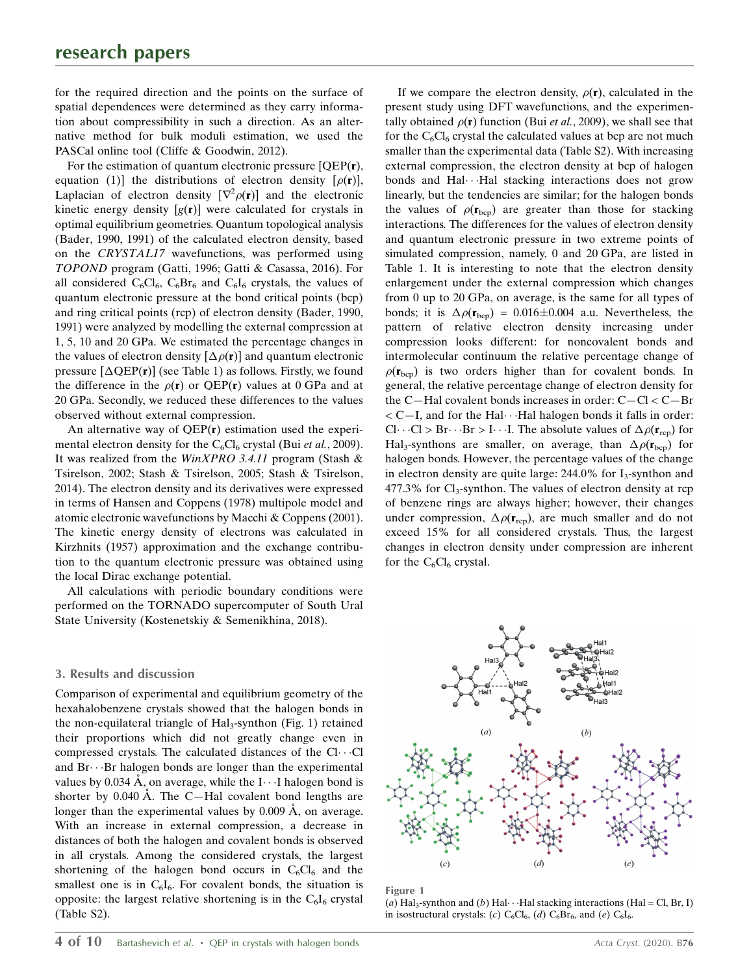for the required direction and the points on the surface of spatial dependences were determined as they carry information about compressibility in such a direction. As an alternative method for bulk moduli estimation, we used the PASCal online tool (Cliffe & Goodwin, 2012).

For the estimation of quantum electronic pressure [QEP(r), equation (1)] the distributions of electron density  $[\rho(\mathbf{r})]$ , Laplacian of electron density  $[\nabla^2 \rho(\mathbf{r})]$  and the electronic kinetic energy density  $[g(r)]$  were calculated for crystals in optimal equilibrium geometries. Quantum topological analysis (Bader, 1990, 1991) of the calculated electron density, based on the CRYSTAL17 wavefunctions, was performed using TOPOND program (Gatti, 1996; Gatti & Casassa, 2016). For all considered  $C_6Cl_6$ ,  $C_6Br_6$  and  $C_6I_6$  crystals, the values of quantum electronic pressure at the bond critical points (bcp) and ring critical points (rcp) of electron density (Bader, 1990, 1991) were analyzed by modelling the external compression at 1, 5, 10 and 20 GPa. We estimated the percentage changes in the values of electron density  $[\Delta \rho(\mathbf{r})]$  and quantum electronic pressure  $[\Delta \text{QEP}(\mathbf{r})]$  (see Table 1) as follows. Firstly, we found the difference in the  $\rho(\mathbf{r})$  or QEP(r) values at 0 GPa and at 20 GPa. Secondly, we reduced these differences to the values observed without external compression.

An alternative way of QEP(r) estimation used the experimental electron density for the  $C_6Cl_6$  crystal (Bui *et al.*, 2009). It was realized from the WinXPRO 3.4.11 program (Stash & Tsirelson, 2002; Stash & Tsirelson, 2005; Stash & Tsirelson, 2014). The electron density and its derivatives were expressed in terms of Hansen and Coppens (1978) multipole model and atomic electronic wavefunctions by Macchi & Coppens (2001). The kinetic energy density of electrons was calculated in Kirzhnits (1957) approximation and the exchange contribution to the quantum electronic pressure was obtained using the local Dirac exchange potential.

All calculations with periodic boundary conditions were performed on the TORNADO supercomputer of South Ural State University (Kostenetskiy & Semenikhina, 2018).

## 3. Results and discussion

Comparison of experimental and equilibrium geometry of the hexahalobenzene crystals showed that the halogen bonds in the non-equilateral triangle of  $\text{Hal}_3$ -synthon (Fig. 1) retained their proportions which did not greatly change even in compressed crystals. The calculated distances of the  $Cl$ ... $Cl$ and Br···Br halogen bonds are longer than the experimental values by 0.034  $\AA$ , on average, while the I $\cdots$ I halogen bond is shorter by  $0.040 \text{ Å}$ . The C-Hal covalent bond lengths are longer than the experimental values by  $0.009 \text{ Å}$ , on average. With an increase in external compression, a decrease in distances of both the halogen and covalent bonds is observed in all crystals. Among the considered crystals, the largest shortening of the halogen bond occurs in  $C_6Cl_6$  and the smallest one is in  $C_6I_6$ . For covalent bonds, the situation is opposite: the largest relative shortening is in the  $C_6I_6$  crystal (Table S2).

If we compare the electron density,  $\rho(\mathbf{r})$ , calculated in the present study using DFT wavefunctions, and the experimentally obtained  $\rho(\mathbf{r})$  function (Bui *et al.*, 2009), we shall see that for the  $C_6Cl_6$  crystal the calculated values at bcp are not much smaller than the experimental data (Table S2). With increasing external compression, the electron density at bcp of halogen bonds and Hal···Hal stacking interactions does not grow linearly, but the tendencies are similar; for the halogen bonds the values of  $\rho(\mathbf{r}_{\text{bco}})$  are greater than those for stacking interactions. The differences for the values of electron density and quantum electronic pressure in two extreme points of simulated compression, namely, 0 and 20 GPa, are listed in Table 1. It is interesting to note that the electron density enlargement under the external compression which changes from 0 up to 20 GPa, on average, is the same for all types of bonds; it is  $\Delta \rho(\mathbf{r}_{bcp}) = 0.016 \pm 0.004$  a.u. Nevertheless, the pattern of relative electron density increasing under compression looks different: for noncovalent bonds and intermolecular continuum the relative percentage change of  $\rho(\mathbf{r}_{bcp})$  is two orders higher than for covalent bonds. In general, the relative percentage change of electron density for the C—Hal covalent bonds increases in order: C—Cl < C—Br  $<$  C $-$ I, and for the Hal $\cdots$ Hal halogen bonds it falls in order:  $Cl \cdot \cdot \cdot Cl > Br \cdot \cdot \cdot Br > I \cdot \cdot \cdot I$ . The absolute values of  $\Delta \rho(\mathbf{r}_{rep})$  for Hal<sub>3</sub>-synthons are smaller, on average, than  $\Delta \rho(\mathbf{r}_{bcp})$  for halogen bonds. However, the percentage values of the change in electron density are quite large:  $244.0\%$  for I<sub>3</sub>-synthon and  $477.3\%$  for Cl<sub>3</sub>-synthon. The values of electron density at rcp of benzene rings are always higher; however, their changes under compression,  $\Delta \rho(\mathbf{r}_{\text{rcp}})$ , are much smaller and do not exceed 15% for all considered crystals. Thus, the largest changes in electron density under compression are inherent for the  $C_6Cl_6$  crystal.



Figure 1

(a) Hal<sub>3</sub>-synthon and (b) Hal $\cdots$ Hal stacking interactions (Hal = Cl, Br, I) in isostructural crystals: (c)  $C_6Cl_6$ , (d)  $C_6Br_6$ , and (e)  $C_6I_6$ .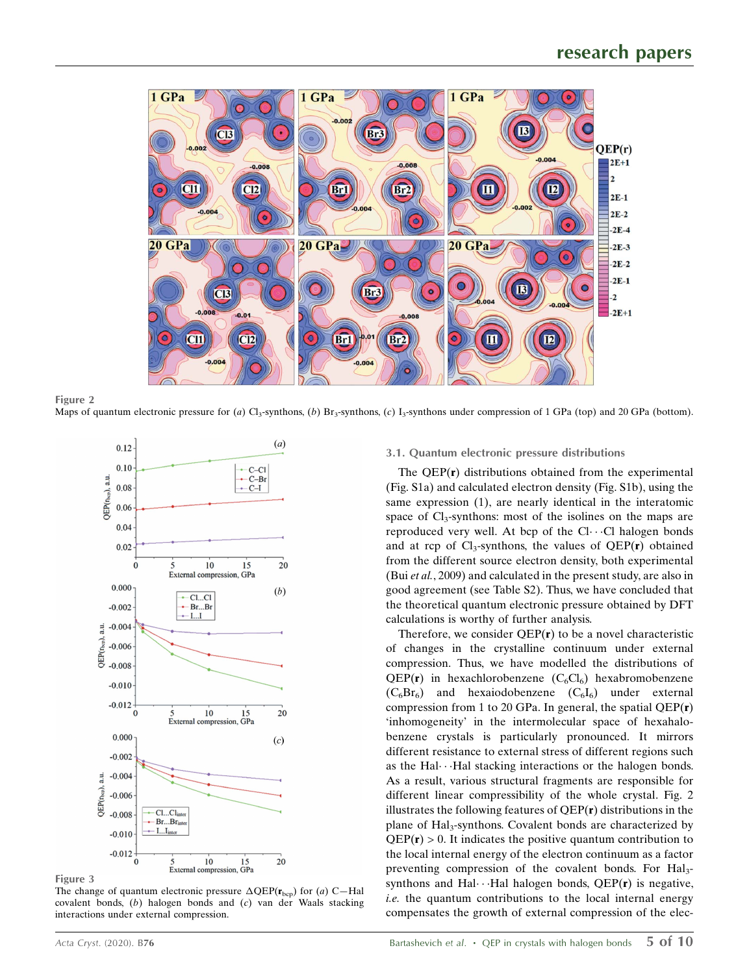

Figure 2 Maps of quantum electronic pressure for (a) Cl<sub>3</sub>-synthons, (b) Br<sub>3</sub>-synthons, (c) I<sub>3</sub>-synthons under compression of 1 GPa (top) and 20 GPa (bottom).



Figure 3

The change of quantum electronic pressure  $\Delta \text{QEP}(\mathbf{r}_{\text{bcp}})$  for (a) C-Hal covalent bonds, (b) halogen bonds and (c) van der Waals stacking interactions under external compression.

# 3.1. Quantum electronic pressure distributions

The  $QEP(r)$  distributions obtained from the experimental (Fig. S1a) and calculated electron density (Fig. S1b), using the same expression (1), are nearly identical in the interatomic space of  $Cl_3$ -synthons: most of the isolines on the maps are reproduced very well. At bcp of the Cl···Cl halogen bonds and at rcp of  $Cl_3$ -synthons, the values of  $QEP(r)$  obtained from the different source electron density, both experimental (Bui et al., 2009) and calculated in the present study, are also in good agreement (see Table S2). Thus, we have concluded that the theoretical quantum electronic pressure obtained by DFT calculations is worthy of further analysis.

Therefore, we consider  $QEP(r)$  to be a novel characteristic of changes in the crystalline continuum under external compression. Thus, we have modelled the distributions of  $QEP(r)$  in hexachlorobenzene  $(C_6Cl_6)$  hexabromobenzene  $(C_6Br_6)$  and hexaiodobenzene  $(C_6I_6)$  under external compression from 1 to 20 GPa. In general, the spatial  $OEP(r)$ 'inhomogeneity' in the intermolecular space of hexahalobenzene crystals is particularly pronounced. It mirrors different resistance to external stress of different regions such as the Hal $\cdots$ Hal stacking interactions or the halogen bonds. As a result, various structural fragments are responsible for different linear compressibility of the whole crystal. Fig. 2 illustrates the following features of  $QEP(r)$  distributions in the plane of Hal<sub>3</sub>-synthons. Covalent bonds are characterized by  $QEP(r) > 0$ . It indicates the positive quantum contribution to the local internal energy of the electron continuum as a factor preventing compression of the covalent bonds. For Hal<sub>3</sub>synthons and Hal $\cdots$ Hal halogen bonds, QEP( $\bf{r}$ ) is negative, i.e. the quantum contributions to the local internal energy compensates the growth of external compression of the elec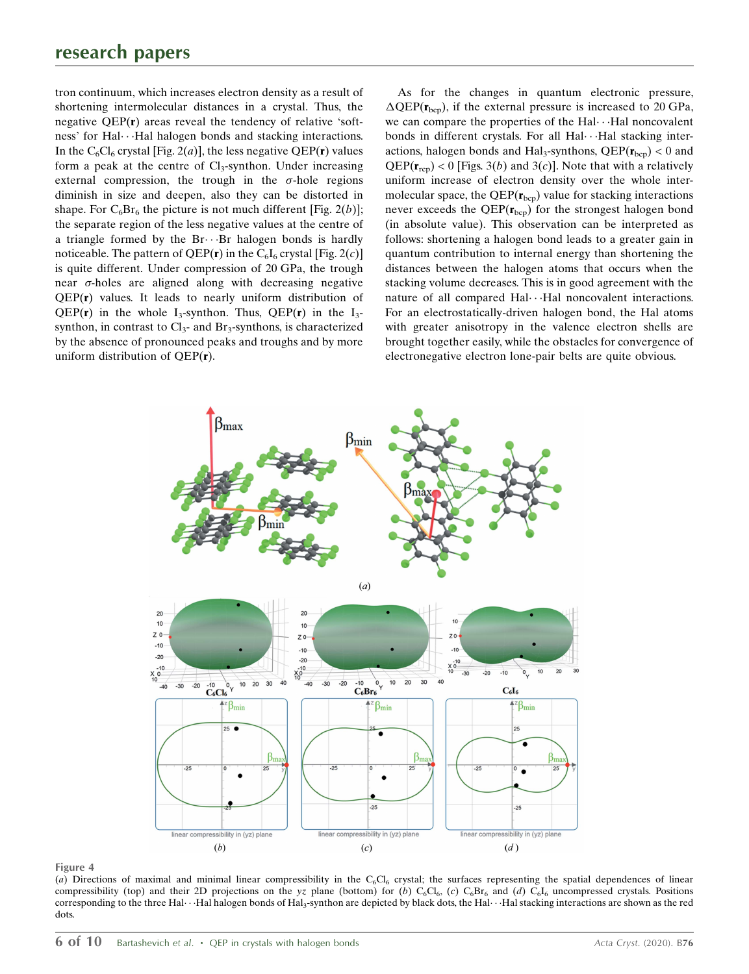tron continuum, which increases electron density as a result of shortening intermolecular distances in a crystal. Thus, the negative QEP(r) areas reveal the tendency of relative 'softness' for Hal···Hal halogen bonds and stacking interactions. In the C<sub>6</sub>Cl<sub>6</sub> crystal [Fig. 2(*a*)], the less negative QEP(**r**) values form a peak at the centre of  $Cl_3$ -synthon. Under increasing external compression, the trough in the  $\sigma$ -hole regions diminish in size and deepen, also they can be distorted in shape. For  $C_6Br_6$  the picture is not much different [Fig. 2(b)]; the separate region of the less negative values at the centre of a triangle formed by the Br $\cdots$ Br halogen bonds is hardly noticeable. The pattern of QEP( $\mathbf{r}$ ) in the C<sub>6</sub>I<sub>6</sub> crystal [Fig. 2(c)] is quite different. Under compression of 20 GPa, the trough near  $\sigma$ -holes are aligned along with decreasing negative QEP(r) values. It leads to nearly uniform distribution of QEP(r) in the whole I<sub>3</sub>-synthon. Thus, QEP(r) in the I<sub>3</sub>synthon, in contrast to  $Cl<sub>3</sub>$ - and Br<sub>3</sub>-synthons, is characterized by the absence of pronounced peaks and troughs and by more uniform distribution of  $QEP(r)$ .

As for the changes in quantum electronic pressure,  $\Delta \text{QEP}(\mathbf{r}_{\text{bcp}})$ , if the external pressure is increased to 20 GPa, we can compare the properties of the Hal···Hal noncovalent bonds in different crystals. For all Hal···Hal stacking interactions, halogen bonds and Hal<sub>3</sub>-synthons,  $QEP(r_{bcp}) < 0$  and  $QEP(\mathbf{r}_{\text{rcp}})$  < 0 [Figs. 3(*b*) and 3(*c*)]. Note that with a relatively uniform increase of electron density over the whole intermolecular space, the  $QEP(r_{bcp})$  value for stacking interactions never exceeds the  $QEP(r_{\text{bco}})$  for the strongest halogen bond (in absolute value). This observation can be interpreted as follows: shortening a halogen bond leads to a greater gain in quantum contribution to internal energy than shortening the distances between the halogen atoms that occurs when the stacking volume decreases. This is in good agreement with the nature of all compared Hal···Hal noncovalent interactions. For an electrostatically-driven halogen bond, the Hal atoms with greater anisotropy in the valence electron shells are brought together easily, while the obstacles for convergence of electronegative electron lone-pair belts are quite obvious.



#### Figure 4

(a) Directions of maximal and minimal linear compressibility in the C<sub>6</sub>Cl<sub>6</sub> crystal; the surfaces representing the spatial dependences of linear compressibility (top) and their 2D projections on the yz plane (bottom) for (b)  $C_6Cl_6$ , (c)  $C_6Br_6$  and (d)  $C_6I_6$  uncompressed crystals. Positions corresponding to the three Hal $\cdots$ Hal halogen bonds of Hal3-synthon are depicted by black dots, the Hal $\cdots$ Hal stacking interactions are shown as the red dots.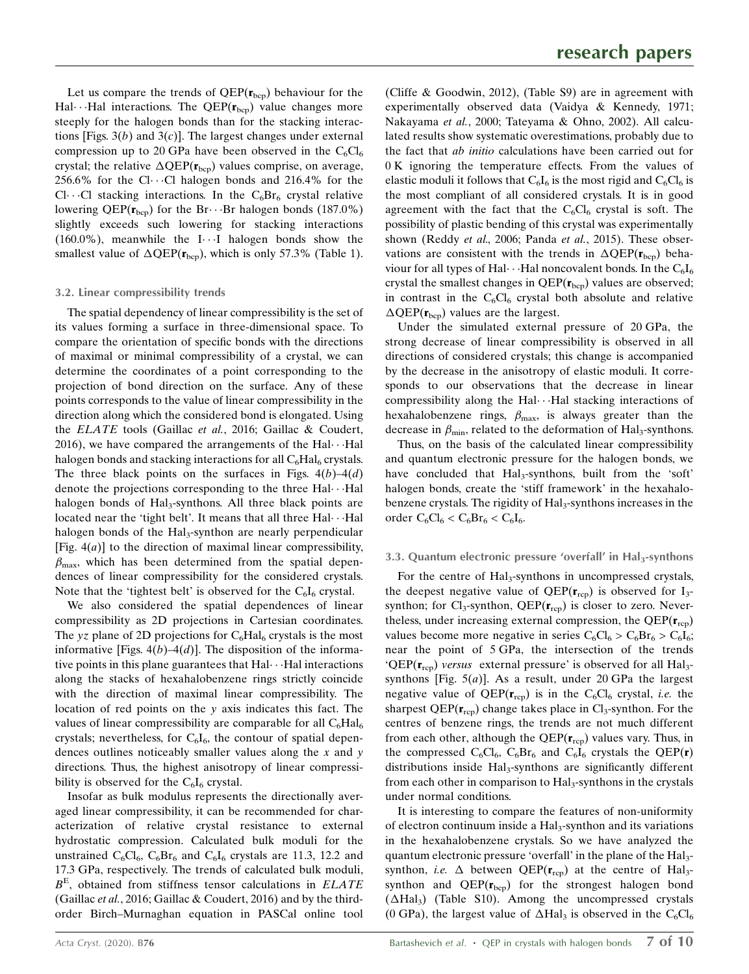Let us compare the trends of  $QEP(\mathbf{r}_{bcp})$  behaviour for the  $\text{Hal}\cdots\text{Hal}$  interactions. The QEP( $\mathbf{r}_{\text{bcp}}$ ) value changes more steeply for the halogen bonds than for the stacking interactions [Figs.  $3(b)$  and  $3(c)$ ]. The largest changes under external compression up to 20 GPa have been observed in the  $C_6Cl_6$ crystal; the relative  $\Delta \text{QEP}(\mathbf{r}_{\text{bcp}})$  values comprise, on average,  $256.6\%$  for the Cl $\cdots$ Cl halogen bonds and  $216.4\%$  for the Cl $\cdots$ Cl stacking interactions. In the C<sub>6</sub>Br<sub>6</sub> crystal relative lowering QEP( $\mathbf{r}_{\text{bcp}}$ ) for the Br $\cdots$ Br halogen bonds (187.0%) slightly exceeds such lowering for stacking interactions  $(160.0\%)$ , meanwhile the I $\cdots$ I halogen bonds show the smallest value of  $\Delta \text{QEP}(\mathbf{r}_{\text{bcp}})$ , which is only 57.3% (Table 1).

# 3.2. Linear compressibility trends

The spatial dependency of linear compressibility is the set of its values forming a surface in three-dimensional space. To compare the orientation of specific bonds with the directions of maximal or minimal compressibility of a crystal, we can determine the coordinates of a point corresponding to the projection of bond direction on the surface. Any of these points corresponds to the value of linear compressibility in the direction along which the considered bond is elongated. Using the ELATE tools (Gaillac et al., 2016; Gaillac & Coudert, 2016), we have compared the arrangements of the Hal $\cdots$ Hal halogen bonds and stacking interactions for all  $C_6\text{Hal}_6$  crystals. The three black points on the surfaces in Figs.  $4(b) - 4(d)$ denote the projections corresponding to the three Hal···Hal halogen bonds of Hal<sub>3</sub>-synthons. All three black points are located near the 'tight belt'. It means that all three  $\text{Hal}\cdots\text{Hal}$ halogen bonds of the  $Hal<sub>3</sub>$ -synthon are nearly perpendicular [Fig.  $4(a)$ ] to the direction of maximal linear compressibility,  $\beta_{\text{max}}$ , which has been determined from the spatial dependences of linear compressibility for the considered crystals. Note that the 'tightest belt' is observed for the  $C_6I_6$  crystal.

We also considered the spatial dependences of linear compressibility as 2D projections in Cartesian coordinates. The yz plane of 2D projections for  $C_6\text{Hal}_6$  crystals is the most informative [Figs.  $4(b) - 4(d)$ ]. The disposition of the informative points in this plane guarantees that Hal···Hal interactions along the stacks of hexahalobenzene rings strictly coincide with the direction of maximal linear compressibility. The location of red points on the y axis indicates this fact. The values of linear compressibility are comparable for all  $C_6\text{Hal}_6$ crystals; nevertheless, for  $C_6I_6$ , the contour of spatial dependences outlines noticeably smaller values along the  $x$  and  $y$ directions. Thus, the highest anisotropy of linear compressibility is observed for the  $C_6I_6$  crystal.

Insofar as bulk modulus represents the directionally averaged linear compressibility, it can be recommended for characterization of relative crystal resistance to external hydrostatic compression. Calculated bulk moduli for the unstrained  $C_6Cl_6$ ,  $C_6Br_6$  and  $C_6I_6$  crystals are 11.3, 12.2 and 17.3 GPa, respectively. The trends of calculated bulk moduli,  $B<sup>E</sup>$ , obtained from stiffness tensor calculations in *ELATE* (Gaillac et al., 2016; Gaillac & Coudert, 2016) and by the thirdorder Birch–Murnaghan equation in PASCal online tool

(Cliffe & Goodwin, 2012), (Table S9) are in agreement with experimentally observed data (Vaidya & Kennedy, 1971; Nakayama et al., 2000; Tateyama & Ohno, 2002). All calculated results show systematic overestimations, probably due to the fact that ab initio calculations have been carried out for 0 K ignoring the temperature effects. From the values of elastic moduli it follows that  $C_6I_6$  is the most rigid and  $C_6CI_6$  is the most compliant of all considered crystals. It is in good agreement with the fact that the  $C_6Cl_6$  crystal is soft. The possibility of plastic bending of this crystal was experimentally shown (Reddy et al., 2006; Panda et al., 2015). These observations are consistent with the trends in  $\Delta QEP(r_{\text{bcp}})$  behaviour for all types of Hal $\cdots$ Hal noncovalent bonds. In the  $\rm C_6I_6$ crystal the smallest changes in  $QEP(r_{bcp})$  values are observed; in contrast in the  $C_6Cl_6$  crystal both absolute and relative  $\Delta \text{QEP}(\mathbf{r}_{\text{bcp}})$  values are the largest.

Under the simulated external pressure of 20 GPa, the strong decrease of linear compressibility is observed in all directions of considered crystals; this change is accompanied by the decrease in the anisotropy of elastic moduli. It corresponds to our observations that the decrease in linear compressibility along the Hal···Hal stacking interactions of hexahalobenzene rings,  $\beta_{\text{max}}$ , is always greater than the decrease in  $\beta_{\text{min}}$ , related to the deformation of Hal<sub>3</sub>-synthons.

Thus, on the basis of the calculated linear compressibility and quantum electronic pressure for the halogen bonds, we have concluded that Hal<sub>3</sub>-synthons, built from the 'soft' halogen bonds, create the 'stiff framework' in the hexahalobenzene crystals. The rigidity of Hal<sub>3</sub>-synthons increases in the order  $C_6Cl_6 < C_6Br_6 < C_6I_6$ .

# 3.3. Quantum electronic pressure 'overfall' in  $\text{Hal}_3$ -synthons

For the centre of Hal<sub>3</sub>-synthons in uncompressed crystals, the deepest negative value of  $QEP(\mathbf{r}_{\text{rcp}})$  is observed for  $I_3$ synthon; for  $Cl_3$ -synthon, QEP( $\mathbf{r}_{\text{rep}}$ ) is closer to zero. Nevertheless, under increasing external compression, the  $QEP(\mathbf{r}_{\text{rcp}})$ values become more negative in series  $C_6Cl_6 > C_6Br_6 > C_6I_6$ ; near the point of 5 GPa, the intersection of the trends ' $QEP(r_{\text{rcp}})$  versus external pressure' is observed for all Hal<sub>3</sub>synthons [Fig.  $5(a)$ ]. As a result, under 20 GPa the largest negative value of  $QEP(\mathbf{r}_{\text{rcp}})$  is in the  $C_6Cl_6$  crystal, *i.e.* the sharpest  $QEP(\mathbf{r}_{\text{rcp}})$  change takes place in  $Cl_3$ -synthon. For the centres of benzene rings, the trends are not much different from each other, although the  $QEP(\mathbf{r}_{rep})$  values vary. Thus, in the compressed  $C_6Cl_6$ ,  $C_6Br_6$  and  $C_6I_6$  crystals the QEP(r) distributions inside Hal<sub>3</sub>-synthons are significantly different from each other in comparison to Hal<sub>3</sub>-synthons in the crystals under normal conditions.

It is interesting to compare the features of non-uniformity of electron continuum inside a Hal<sub>3</sub>-synthon and its variations in the hexahalobenzene crystals. So we have analyzed the quantum electronic pressure 'overfall' in the plane of the Hal<sub>3</sub>synthon, *i.e.*  $\Delta$  between QEP( $\mathbf{r}_{\text{rcp}}$ ) at the centre of Hal<sub>3</sub>synthon and  $QEP(r_{bcp})$  for the strongest halogen bond  $( \Delta \text{Hal}_3 )$  (Table S10). Among the uncompressed crystals (0 GPa), the largest value of  $\Delta \text{Hal}_3$  is observed in the C<sub>6</sub>Cl<sub>6</sub>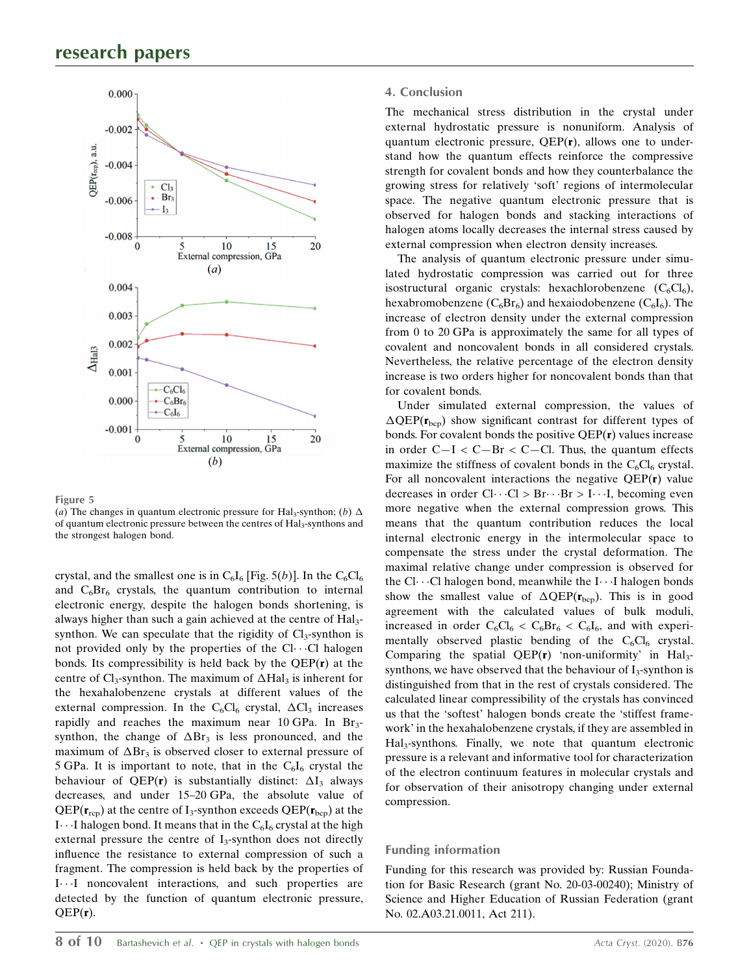

Figure 5

(a) The changes in quantum electronic pressure for Hal<sub>3</sub>-synthon; (b)  $\Delta$ of quantum electronic pressure between the centres of Hal<sub>3</sub>-synthons and the strongest halogen bond.

crystal, and the smallest one is in  $C_6I_6$  [Fig. 5(b)]. In the  $C_6Cl_6$ and  $C_6Br_6$  crystals, the quantum contribution to internal electronic energy, despite the halogen bonds shortening, is always higher than such a gain achieved at the centre of Hal<sub>3</sub>synthon. We can speculate that the rigidity of  $Cl_3$ -synthon is not provided only by the properties of the  $Cl \cdots Cl$  halogen bonds. Its compressibility is held back by the QEP(r) at the centre of  $Cl_3$ -synthon. The maximum of  $\Delta \text{Hal}_3$  is inherent for the hexahalobenzene crystals at different values of the external compression. In the  $C_6Cl_6$  crystal,  $\Delta Cl_3$  increases rapidly and reaches the maximum near 10 GPa. In  $Br_3$ synthon, the change of  $\Delta Br_3$  is less pronounced, and the maximum of  $\Delta Br_3$  is observed closer to external pressure of 5 GPa. It is important to note, that in the  $C_6I_6$  crystal the behaviour of QEP(r) is substantially distinct:  $\Delta I_3$  always decreases, and under 15–20 GPa, the absolute value of  $QEP(r_{\rm rco})$  at the centre of I<sub>3</sub>-synthon exceeds  $QEP(r_{\rm bco})$  at the I $\cdots$ I halogen bond. It means that in the  $C_6I_6$  crystal at the high external pressure the centre of  $I_3$ -synthon does not directly influence the resistance to external compression of such a fragment. The compression is held back by the properties of I---I noncovalent interactions, and such properties are detected by the function of quantum electronic pressure,  $QEP(r)$ .

## 4. Conclusion

The mechanical stress distribution in the crystal under external hydrostatic pressure is nonuniform. Analysis of quantum electronic pressure, QEP(r), allows one to understand how the quantum effects reinforce the compressive strength for covalent bonds and how they counterbalance the growing stress for relatively 'soft' regions of intermolecular space. The negative quantum electronic pressure that is observed for halogen bonds and stacking interactions of halogen atoms locally decreases the internal stress caused by external compression when electron density increases.

The analysis of quantum electronic pressure under simulated hydrostatic compression was carried out for three isostructural organic crystals: hexachlorobenzene  $(C_6Cl_6)$ , hexabromobenzene ( $C_6Br_6$ ) and hexaiodobenzene ( $C_6I_6$ ). The increase of electron density under the external compression from 0 to 20 GPa is approximately the same for all types of covalent and noncovalent bonds in all considered crystals. Nevertheless, the relative percentage of the electron density increase is two orders higher for noncovalent bonds than that for covalent bonds.

Under simulated external compression, the values of  $\Delta \text{QEP}(\mathbf{r}_{\text{bcp}})$  show significant contrast for different types of bonds. For covalent bonds the positive  $QEP(r)$  values increase in order  $C-I < C-Br < C-CI$ . Thus, the quantum effects maximize the stiffness of covalent bonds in the  $C_6Cl_6$  crystal. For all noncovalent interactions the negative QEP(r) value decreases in order  $Cl \cdot \cdot \cdot Cl > Br \cdot \cdot \cdot Br > I \cdot \cdot \cdot I$ , becoming even more negative when the external compression grows. This means that the quantum contribution reduces the local internal electronic energy in the intermolecular space to compensate the stress under the crystal deformation. The maximal relative change under compression is observed for the Cl···Cl halogen bond, meanwhile the I···I halogen bonds show the smallest value of  $\Delta QEP(r_{bcp})$ . This is in good agreement with the calculated values of bulk moduli, increased in order  $C_6Cl_6 < C_6Br_6 < C_6I_6$ , and with experimentally observed plastic bending of the  $C_6Cl_6$  crystal. Comparing the spatial QEP $(r)$  'non-uniformity' in Hal<sub>3</sub>synthons, we have observed that the behaviour of  $I_3$ -synthon is distinguished from that in the rest of crystals considered. The calculated linear compressibility of the crystals has convinced us that the 'softest' halogen bonds create the 'stiffest framework' in the hexahalobenzene crystals, if they are assembled in Hal3-synthons. Finally, we note that quantum electronic pressure is a relevant and informative tool for characterization of the electron continuum features in molecular crystals and for observation of their anisotropy changing under external compression.

# Funding information

Funding for this research was provided by: Russian Foundation for Basic Research (grant No. 20-03-00240); Ministry of Science and Higher Education of Russian Federation (grant No. 02.A03.21.0011, Act 211).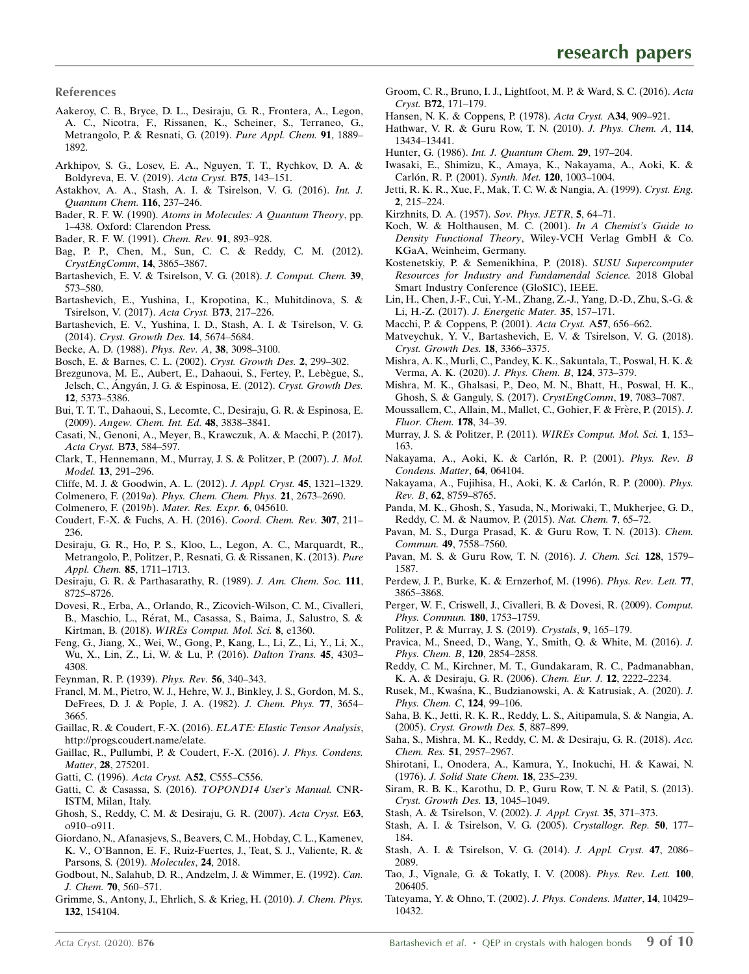References

- [Aakeroy, C. B., Bryce, D. L., Desiraju, G. R., Frontera, A., Legon,](http://scripts.iucr.org/cgi-bin/cr.cgi?rm=pdfbb&cnor=xk5070&bbid=BB1) [A. C., Nicotra, F., Rissanen, K., Scheiner, S., Terraneo, G.,](http://scripts.iucr.org/cgi-bin/cr.cgi?rm=pdfbb&cnor=xk5070&bbid=BB1) [Metrangolo, P. & Resnati, G. \(2019\).](http://scripts.iucr.org/cgi-bin/cr.cgi?rm=pdfbb&cnor=xk5070&bbid=BB1) Pure Appl. Chem. 91, 1889– [1892.](http://scripts.iucr.org/cgi-bin/cr.cgi?rm=pdfbb&cnor=xk5070&bbid=BB1)
- [Arkhipov, S. G., Losev, E. A., Nguyen, T. T., Rychkov, D. A. &](http://scripts.iucr.org/cgi-bin/cr.cgi?rm=pdfbb&cnor=xk5070&bbid=BB2) [Boldyreva, E. V. \(2019\).](http://scripts.iucr.org/cgi-bin/cr.cgi?rm=pdfbb&cnor=xk5070&bbid=BB2) Acta Cryst. B75, 143–151.
- [Astakhov, A. A., Stash, A. I. & Tsirelson, V. G. \(2016\).](http://scripts.iucr.org/cgi-bin/cr.cgi?rm=pdfbb&cnor=xk5070&bbid=BB3) Int. J. [Quantum Chem.](http://scripts.iucr.org/cgi-bin/cr.cgi?rm=pdfbb&cnor=xk5070&bbid=BB3) 116, 237–246.
- Bader, R. F. W. (1990). [Atoms in Molecules: A Quantum Theory](http://scripts.iucr.org/cgi-bin/cr.cgi?rm=pdfbb&cnor=xk5070&bbid=BB4), pp. [1–438. Oxford: Clarendon Press.](http://scripts.iucr.org/cgi-bin/cr.cgi?rm=pdfbb&cnor=xk5070&bbid=BB4)
- [Bader, R. F. W. \(1991\).](http://scripts.iucr.org/cgi-bin/cr.cgi?rm=pdfbb&cnor=xk5070&bbid=BB5) Chem. Rev. 91, 893–928.
- [Bag, P. P., Chen, M., Sun, C. C. & Reddy, C. M. \(2012\).](http://scripts.iucr.org/cgi-bin/cr.cgi?rm=pdfbb&cnor=xk5070&bbid=BB6) [CrystEngComm](http://scripts.iucr.org/cgi-bin/cr.cgi?rm=pdfbb&cnor=xk5070&bbid=BB6), 14, 3865–3867.
- [Bartashevich, E. V. & Tsirelson, V. G. \(2018\).](http://scripts.iucr.org/cgi-bin/cr.cgi?rm=pdfbb&cnor=xk5070&bbid=BB7) J. Comput. Chem. 39, [573–580.](http://scripts.iucr.org/cgi-bin/cr.cgi?rm=pdfbb&cnor=xk5070&bbid=BB7)
- [Bartashevich, E., Yushina, I., Kropotina, K., Muhitdinova, S. &](http://scripts.iucr.org/cgi-bin/cr.cgi?rm=pdfbb&cnor=xk5070&bbid=BB8) [Tsirelson, V. \(2017\).](http://scripts.iucr.org/cgi-bin/cr.cgi?rm=pdfbb&cnor=xk5070&bbid=BB8) Acta Cryst. B73, 217–226.
- [Bartashevich, E. V., Yushina, I. D., Stash, A. I. & Tsirelson, V. G.](http://scripts.iucr.org/cgi-bin/cr.cgi?rm=pdfbb&cnor=xk5070&bbid=BB9) (2014). [Cryst. Growth Des.](http://scripts.iucr.org/cgi-bin/cr.cgi?rm=pdfbb&cnor=xk5070&bbid=BB9) 14, 5674–5684.
- [Becke, A. D. \(1988\).](http://scripts.iucr.org/cgi-bin/cr.cgi?rm=pdfbb&cnor=xk5070&bbid=BB10) Phys. Rev. A, 38, 3098–3100.
- [Bosch, E. & Barnes, C. L. \(2002\).](http://scripts.iucr.org/cgi-bin/cr.cgi?rm=pdfbb&cnor=xk5070&bbid=BB11) Cryst. Growth Des. 2, 299–302.
- Brezgunova, M. E., Aubert, E., Dahaoui, S., Fertey, P., Lebègue, S., Jelsch, C., Ángyán, J. G. & Espinosa, E. (2012). Cryst. Growth Des. 12[, 5373–5386.](http://scripts.iucr.org/cgi-bin/cr.cgi?rm=pdfbb&cnor=xk5070&bbid=BB12)
- [Bui, T. T. T., Dahaoui, S., Lecomte, C., Desiraju, G. R. & Espinosa, E.](http://scripts.iucr.org/cgi-bin/cr.cgi?rm=pdfbb&cnor=xk5070&bbid=BB13) (2009). [Angew. Chem. Int. Ed.](http://scripts.iucr.org/cgi-bin/cr.cgi?rm=pdfbb&cnor=xk5070&bbid=BB13) 48, 3838–3841.
- [Casati, N., Genoni, A., Meyer, B., Krawczuk, A. & Macchi, P. \(2017\).](http://scripts.iucr.org/cgi-bin/cr.cgi?rm=pdfbb&cnor=xk5070&bbid=BB14) [Acta Cryst.](http://scripts.iucr.org/cgi-bin/cr.cgi?rm=pdfbb&cnor=xk5070&bbid=BB14) B73, 584–597.
- [Clark, T., Hennemann, M., Murray, J. S. & Politzer, P. \(2007\).](http://scripts.iucr.org/cgi-bin/cr.cgi?rm=pdfbb&cnor=xk5070&bbid=BB15) J. Mol. Model. 13[, 291–296.](http://scripts.iucr.org/cgi-bin/cr.cgi?rm=pdfbb&cnor=xk5070&bbid=BB15)
- [Cliffe, M. J. & Goodwin, A. L. \(2012\).](http://scripts.iucr.org/cgi-bin/cr.cgi?rm=pdfbb&cnor=xk5070&bbid=BB16) J. Appl. Cryst. 45, 1321–1329.
- Colmenero, F. (2019a). [Phys. Chem. Chem. Phys.](http://scripts.iucr.org/cgi-bin/cr.cgi?rm=pdfbb&cnor=xk5070&bbid=BB17) 21, 2673–2690.
- [Colmenero, F. \(2019](http://scripts.iucr.org/cgi-bin/cr.cgi?rm=pdfbb&cnor=xk5070&bbid=BB18)b). Mater. Res. Expr. 6, 045610.
- [Coudert, F.-X. & Fuchs, A. H. \(2016\).](http://scripts.iucr.org/cgi-bin/cr.cgi?rm=pdfbb&cnor=xk5070&bbid=BB19) Coord. Chem. Rev. 307, 211– [236.](http://scripts.iucr.org/cgi-bin/cr.cgi?rm=pdfbb&cnor=xk5070&bbid=BB19)
- [Desiraju, G. R., Ho, P. S., Kloo, L., Legon, A. C., Marquardt, R.,](http://scripts.iucr.org/cgi-bin/cr.cgi?rm=pdfbb&cnor=xk5070&bbid=BB20) [Metrangolo, P., Politzer, P., Resnati, G. & Rissanen, K. \(2013\).](http://scripts.iucr.org/cgi-bin/cr.cgi?rm=pdfbb&cnor=xk5070&bbid=BB20) Pure [Appl. Chem.](http://scripts.iucr.org/cgi-bin/cr.cgi?rm=pdfbb&cnor=xk5070&bbid=BB20) 85, 1711–1713.
- [Desiraju, G. R. & Parthasarathy, R. \(1989\).](http://scripts.iucr.org/cgi-bin/cr.cgi?rm=pdfbb&cnor=xk5070&bbid=BB21) J. Am. Chem. Soc. 111, [8725–8726.](http://scripts.iucr.org/cgi-bin/cr.cgi?rm=pdfbb&cnor=xk5070&bbid=BB21)
- [Dovesi, R., Erba, A., Orlando, R., Zicovich-Wilson, C. M., Civalleri,](http://scripts.iucr.org/cgi-bin/cr.cgi?rm=pdfbb&cnor=xk5070&bbid=BB22) B., Maschio, L., Rérat, M., Casassa, S., Baima, J., Salustro, S. & Kirtman, B. (2018). [WIREs Comput. Mol. Sci.](http://scripts.iucr.org/cgi-bin/cr.cgi?rm=pdfbb&cnor=xk5070&bbid=BB22) 8, e1360.
- [Feng, G., Jiang, X., Wei, W., Gong, P., Kang, L., Li, Z., Li, Y., Li, X.,](http://scripts.iucr.org/cgi-bin/cr.cgi?rm=pdfbb&cnor=xk5070&bbid=BB23) [Wu, X., Lin, Z., Li, W. & Lu, P. \(2016\).](http://scripts.iucr.org/cgi-bin/cr.cgi?rm=pdfbb&cnor=xk5070&bbid=BB23) Dalton Trans. 45, 4303– [4308.](http://scripts.iucr.org/cgi-bin/cr.cgi?rm=pdfbb&cnor=xk5070&bbid=BB23)
- [Feynman, R. P. \(1939\).](http://scripts.iucr.org/cgi-bin/cr.cgi?rm=pdfbb&cnor=xk5070&bbid=BB24) Phys. Rev. 56, 340–343.
- [Francl, M. M., Pietro, W. J., Hehre, W. J., Binkley, J. S., Gordon, M. S.,](http://scripts.iucr.org/cgi-bin/cr.cgi?rm=pdfbb&cnor=xk5070&bbid=BB25) [DeFrees, D. J. & Pople, J. A. \(1982\).](http://scripts.iucr.org/cgi-bin/cr.cgi?rm=pdfbb&cnor=xk5070&bbid=BB25) J. Chem. Phys. 77, 3654– [3665.](http://scripts.iucr.org/cgi-bin/cr.cgi?rm=pdfbb&cnor=xk5070&bbid=BB25)
- [Gaillac, R. & Coudert, F.-X. \(2016\).](http://scripts.iucr.org/cgi-bin/cr.cgi?rm=pdfbb&cnor=xk5070&bbid=BB26) ELATE: Elastic Tensor Analysis, [http://progs.coudert.name/elate.](http://scripts.iucr.org/cgi-bin/cr.cgi?rm=pdfbb&cnor=xk5070&bbid=BB26)
- [Gaillac, R., Pullumbi, P. & Coudert, F.-X. \(2016\).](http://scripts.iucr.org/cgi-bin/cr.cgi?rm=pdfbb&cnor=xk5070&bbid=BB27) J. Phys. Condens. Matter, 28[, 275201.](http://scripts.iucr.org/cgi-bin/cr.cgi?rm=pdfbb&cnor=xk5070&bbid=BB27)
- [Gatti, C. \(1996\).](http://scripts.iucr.org/cgi-bin/cr.cgi?rm=pdfbb&cnor=xk5070&bbid=BB28) Acta Cryst. A52, C555-C556.
- [Gatti, C. & Casassa, S. \(2016\).](http://scripts.iucr.org/cgi-bin/cr.cgi?rm=pdfbb&cnor=xk5070&bbid=BB29) TOPOND14 User's Manual. CNR-[ISTM, Milan, Italy.](http://scripts.iucr.org/cgi-bin/cr.cgi?rm=pdfbb&cnor=xk5070&bbid=BB29)
- [Ghosh, S., Reddy, C. M. & Desiraju, G. R. \(2007\).](http://scripts.iucr.org/cgi-bin/cr.cgi?rm=pdfbb&cnor=xk5070&bbid=BB30) Acta Cryst. E63, [o910–o911.](http://scripts.iucr.org/cgi-bin/cr.cgi?rm=pdfbb&cnor=xk5070&bbid=BB30)
- [Giordano, N., Afanasjevs, S., Beavers, C. M., Hobday, C. L., Kamenev,](http://scripts.iucr.org/cgi-bin/cr.cgi?rm=pdfbb&cnor=xk5070&bbid=BB31) [K. V., O'Bannon, E. F., Ruiz-Fuertes, J., Teat, S. J., Valiente, R. &](http://scripts.iucr.org/cgi-bin/cr.cgi?rm=pdfbb&cnor=xk5070&bbid=BB31) [Parsons, S. \(2019\).](http://scripts.iucr.org/cgi-bin/cr.cgi?rm=pdfbb&cnor=xk5070&bbid=BB31) Molecules, 24, 2018.
- [Godbout, N., Salahub, D. R., Andzelm, J. & Wimmer, E. \(1992\).](http://scripts.iucr.org/cgi-bin/cr.cgi?rm=pdfbb&cnor=xk5070&bbid=BB32) Can. J. Chem. 70[, 560–571.](http://scripts.iucr.org/cgi-bin/cr.cgi?rm=pdfbb&cnor=xk5070&bbid=BB32)
- [Grimme, S., Antony, J., Ehrlich, S. & Krieg, H. \(2010\).](http://scripts.iucr.org/cgi-bin/cr.cgi?rm=pdfbb&cnor=xk5070&bbid=BB33) J. Chem. Phys. 132[, 154104.](http://scripts.iucr.org/cgi-bin/cr.cgi?rm=pdfbb&cnor=xk5070&bbid=BB33)
- [Groom, C. R., Bruno, I. J., Lightfoot, M. P. & Ward, S. C. \(2016\).](http://scripts.iucr.org/cgi-bin/cr.cgi?rm=pdfbb&cnor=xk5070&bbid=BB34) Acta Cryst. B72[, 171–179.](http://scripts.iucr.org/cgi-bin/cr.cgi?rm=pdfbb&cnor=xk5070&bbid=BB34)
- [Hansen, N. K. & Coppens, P. \(1978\).](http://scripts.iucr.org/cgi-bin/cr.cgi?rm=pdfbb&cnor=xk5070&bbid=BB35) Acta Cryst. A34, 909–921.
- [Hathwar, V. R. & Guru Row, T. N. \(2010\).](http://scripts.iucr.org/cgi-bin/cr.cgi?rm=pdfbb&cnor=xk5070&bbid=BB36) J. Phys. Chem. A, 114, [13434–13441.](http://scripts.iucr.org/cgi-bin/cr.cgi?rm=pdfbb&cnor=xk5070&bbid=BB36)
- Hunter, G. (1986). [Int. J. Quantum Chem.](http://scripts.iucr.org/cgi-bin/cr.cgi?rm=pdfbb&cnor=xk5070&bbid=BB37) 29, 197–204.
- [Iwasaki, E., Shimizu, K., Amaya, K., Nakayama, A., Aoki, K. &](http://scripts.iucr.org/cgi-bin/cr.cgi?rm=pdfbb&cnor=xk5070&bbid=BB38) Carlón, R. P. (2001). Synth. Met. 120, 1003-1004.
- [Jetti, R. K. R., Xue, F., Mak, T. C. W. & Nangia, A. \(1999\).](http://scripts.iucr.org/cgi-bin/cr.cgi?rm=pdfbb&cnor=xk5070&bbid=BB39) Cryst. Eng. 2[, 215–224.](http://scripts.iucr.org/cgi-bin/cr.cgi?rm=pdfbb&cnor=xk5070&bbid=BB39)
- [Kirzhnits, D. A. \(1957\).](http://scripts.iucr.org/cgi-bin/cr.cgi?rm=pdfbb&cnor=xk5070&bbid=BB40) Sov. Phys. JETR, 5, 64–71.
- [Koch, W. & Holthausen, M. C. \(2001\).](http://scripts.iucr.org/cgi-bin/cr.cgi?rm=pdfbb&cnor=xk5070&bbid=BB41) In A Chemist's Guide to Density Functional Theory[, Wiley-VCH Verlag GmbH & Co.](http://scripts.iucr.org/cgi-bin/cr.cgi?rm=pdfbb&cnor=xk5070&bbid=BB41) [KGaA, Weinheim, Germany.](http://scripts.iucr.org/cgi-bin/cr.cgi?rm=pdfbb&cnor=xk5070&bbid=BB41)
- [Kostenetskiy, P. & Semenikhina, P. \(2018\).](http://scripts.iucr.org/cgi-bin/cr.cgi?rm=pdfbb&cnor=xk5070&bbid=BB42) SUSU Supercomputer [Resources for Industry and Fundamendal Science.](http://scripts.iucr.org/cgi-bin/cr.cgi?rm=pdfbb&cnor=xk5070&bbid=BB42) 2018 Global [Smart Industry Conference \(GloSIC\), IEEE.](http://scripts.iucr.org/cgi-bin/cr.cgi?rm=pdfbb&cnor=xk5070&bbid=BB42)
- [Lin, H., Chen, J.-F., Cui, Y.-M., Zhang, Z.-J., Yang, D.-D., Zhu, S.-G. &](http://scripts.iucr.org/cgi-bin/cr.cgi?rm=pdfbb&cnor=xk5070&bbid=BB43) Li, H.-Z. (2017). [J. Energetic Mater.](http://scripts.iucr.org/cgi-bin/cr.cgi?rm=pdfbb&cnor=xk5070&bbid=BB43) 35, 157–171.
- [Macchi, P. & Coppens, P. \(2001\).](http://scripts.iucr.org/cgi-bin/cr.cgi?rm=pdfbb&cnor=xk5070&bbid=BB44) Acta Cryst. A57, 656–662.
- [Matveychuk, Y. V., Bartashevich, E. V. & Tsirelson, V. G. \(2018\).](http://scripts.iucr.org/cgi-bin/cr.cgi?rm=pdfbb&cnor=xk5070&bbid=BB45) [Cryst. Growth Des.](http://scripts.iucr.org/cgi-bin/cr.cgi?rm=pdfbb&cnor=xk5070&bbid=BB45) 18, 3366–3375.
- [Mishra, A. K., Murli, C., Pandey, K. K., Sakuntala, T., Poswal, H. K. &](http://scripts.iucr.org/cgi-bin/cr.cgi?rm=pdfbb&cnor=xk5070&bbid=BB46) [Verma, A. K. \(2020\).](http://scripts.iucr.org/cgi-bin/cr.cgi?rm=pdfbb&cnor=xk5070&bbid=BB46) J. Phys. Chem. B, 124, 373–379.
- [Mishra, M. K., Ghalsasi, P., Deo, M. N., Bhatt, H., Poswal, H. K.,](http://scripts.iucr.org/cgi-bin/cr.cgi?rm=pdfbb&cnor=xk5070&bbid=BB47) [Ghosh, S. & Ganguly, S. \(2017\).](http://scripts.iucr.org/cgi-bin/cr.cgi?rm=pdfbb&cnor=xk5070&bbid=BB47) CrystEngComm, 19, 7083–7087.
- Moussallem, C., Allain, M., Mallet, C., Gohier, F. & Frère, P. (2015). J. [Fluor. Chem.](http://scripts.iucr.org/cgi-bin/cr.cgi?rm=pdfbb&cnor=xk5070&bbid=BB48) 178, 34–39.
- [Murray, J. S. & Politzer, P. \(2011\).](http://scripts.iucr.org/cgi-bin/cr.cgi?rm=pdfbb&cnor=xk5070&bbid=BB49) WIREs Comput. Mol. Sci. 1, 153– [163.](http://scripts.iucr.org/cgi-bin/cr.cgi?rm=pdfbb&cnor=xk5070&bbid=BB49)
- Nakayama, A., Aoki, K. & Carlón, R. P. (2001). Phys. Rev. B [Condens. Matter](http://scripts.iucr.org/cgi-bin/cr.cgi?rm=pdfbb&cnor=xk5070&bbid=BB50), 64, 064104.
- Nakayama, A., Fujihisa, H., Aoki, K. & Carlón, R. P. (2000). Phys. Rev. B, 62[, 8759–8765.](http://scripts.iucr.org/cgi-bin/cr.cgi?rm=pdfbb&cnor=xk5070&bbid=BB51)
- [Panda, M. K., Ghosh, S., Yasuda, N., Moriwaki, T., Mukherjee, G. D.,](http://scripts.iucr.org/cgi-bin/cr.cgi?rm=pdfbb&cnor=xk5070&bbid=BB52) [Reddy, C. M. & Naumov, P. \(2015\).](http://scripts.iucr.org/cgi-bin/cr.cgi?rm=pdfbb&cnor=xk5070&bbid=BB52) Nat. Chem. 7, 65–72.
- [Pavan, M. S., Durga Prasad, K. & Guru Row, T. N. \(2013\).](http://scripts.iucr.org/cgi-bin/cr.cgi?rm=pdfbb&cnor=xk5070&bbid=BB54) Chem. Commun. 49[, 7558–7560.](http://scripts.iucr.org/cgi-bin/cr.cgi?rm=pdfbb&cnor=xk5070&bbid=BB54)
- [Pavan, M. S. & Guru Row, T. N. \(2016\).](http://scripts.iucr.org/cgi-bin/cr.cgi?rm=pdfbb&cnor=xk5070&bbid=BB53) J. Chem. Sci. 128, 1579– [1587.](http://scripts.iucr.org/cgi-bin/cr.cgi?rm=pdfbb&cnor=xk5070&bbid=BB53)
- [Perdew, J. P., Burke, K. & Ernzerhof, M. \(1996\).](http://scripts.iucr.org/cgi-bin/cr.cgi?rm=pdfbb&cnor=xk5070&bbid=BB55) Phys. Rev. Lett. 77, [3865–3868.](http://scripts.iucr.org/cgi-bin/cr.cgi?rm=pdfbb&cnor=xk5070&bbid=BB55)
- [Perger, W. F., Criswell, J., Civalleri, B. & Dovesi, R. \(2009\).](http://scripts.iucr.org/cgi-bin/cr.cgi?rm=pdfbb&cnor=xk5070&bbid=BB56) Comput. [Phys. Commun.](http://scripts.iucr.org/cgi-bin/cr.cgi?rm=pdfbb&cnor=xk5070&bbid=BB56) 180, 1753–1759.
- [Politzer, P. & Murray, J. S. \(2019\).](http://scripts.iucr.org/cgi-bin/cr.cgi?rm=pdfbb&cnor=xk5070&bbid=BB57) Crystals, 9, 165–179.
- [Pravica, M., Sneed, D., Wang, Y., Smith, Q. & White, M. \(2016\).](http://scripts.iucr.org/cgi-bin/cr.cgi?rm=pdfbb&cnor=xk5070&bbid=BB58) J. [Phys. Chem. B](http://scripts.iucr.org/cgi-bin/cr.cgi?rm=pdfbb&cnor=xk5070&bbid=BB58), 120, 2854–2858.
- [Reddy, C. M., Kirchner, M. T., Gundakaram, R. C., Padmanabhan,](http://scripts.iucr.org/cgi-bin/cr.cgi?rm=pdfbb&cnor=xk5070&bbid=BB59) [K. A. & Desiraju, G. R. \(2006\).](http://scripts.iucr.org/cgi-bin/cr.cgi?rm=pdfbb&cnor=xk5070&bbid=BB59) Chem. Eur. J. 12, 2222–2234.
- Rusek, M., Kwaśna, K., Budzianowski, A. & Katrusiak, A. (2020). J. [Phys. Chem. C](http://scripts.iucr.org/cgi-bin/cr.cgi?rm=pdfbb&cnor=xk5070&bbid=BB60), 124, 99–106.
- [Saha, B. K., Jetti, R. K. R., Reddy, L. S., Aitipamula, S. & Nangia, A.](http://scripts.iucr.org/cgi-bin/cr.cgi?rm=pdfbb&cnor=xk5070&bbid=BB61) (2005). [Cryst. Growth Des.](http://scripts.iucr.org/cgi-bin/cr.cgi?rm=pdfbb&cnor=xk5070&bbid=BB61) 5, 887–899.
- [Saha, S., Mishra, M. K., Reddy, C. M. & Desiraju, G. R. \(2018\).](http://scripts.iucr.org/cgi-bin/cr.cgi?rm=pdfbb&cnor=xk5070&bbid=BB62) Acc. Chem. Res. 51[, 2957–2967.](http://scripts.iucr.org/cgi-bin/cr.cgi?rm=pdfbb&cnor=xk5070&bbid=BB62)
- [Shirotani, I., Onodera, A., Kamura, Y., Inokuchi, H. & Kawai, N.](http://scripts.iucr.org/cgi-bin/cr.cgi?rm=pdfbb&cnor=xk5070&bbid=BB63) (1976). [J. Solid State Chem.](http://scripts.iucr.org/cgi-bin/cr.cgi?rm=pdfbb&cnor=xk5070&bbid=BB63) 18, 235–239.
- [Siram, R. B. K., Karothu, D. P., Guru Row, T. N. & Patil, S. \(2013\).](http://scripts.iucr.org/cgi-bin/cr.cgi?rm=pdfbb&cnor=xk5070&bbid=BB64) [Cryst. Growth Des.](http://scripts.iucr.org/cgi-bin/cr.cgi?rm=pdfbb&cnor=xk5070&bbid=BB64) 13, 1045–1049.
- [Stash, A. & Tsirelson, V. \(2002\).](http://scripts.iucr.org/cgi-bin/cr.cgi?rm=pdfbb&cnor=xk5070&bbid=BB65) J. Appl. Cryst. 35, 371–373.
- [Stash, A. I. & Tsirelson, V. G. \(2005\).](http://scripts.iucr.org/cgi-bin/cr.cgi?rm=pdfbb&cnor=xk5070&bbid=BB66) Crystallogr. Rep. 50, 177– [184.](http://scripts.iucr.org/cgi-bin/cr.cgi?rm=pdfbb&cnor=xk5070&bbid=BB66)
- [Stash, A. I. & Tsirelson, V. G. \(2014\).](http://scripts.iucr.org/cgi-bin/cr.cgi?rm=pdfbb&cnor=xk5070&bbid=BB67) J. Appl. Cryst. 47, 2086– [2089.](http://scripts.iucr.org/cgi-bin/cr.cgi?rm=pdfbb&cnor=xk5070&bbid=BB67)
- [Tao, J., Vignale, G. & Tokatly, I. V. \(2008\).](http://scripts.iucr.org/cgi-bin/cr.cgi?rm=pdfbb&cnor=xk5070&bbid=BB68) Phys. Rev. Lett. 100, [206405.](http://scripts.iucr.org/cgi-bin/cr.cgi?rm=pdfbb&cnor=xk5070&bbid=BB68)
- [Tateyama, Y. & Ohno, T. \(2002\).](http://scripts.iucr.org/cgi-bin/cr.cgi?rm=pdfbb&cnor=xk5070&bbid=BB69) J. Phys. Condens. Matter, 14, 10429– [10432.](http://scripts.iucr.org/cgi-bin/cr.cgi?rm=pdfbb&cnor=xk5070&bbid=BB69)